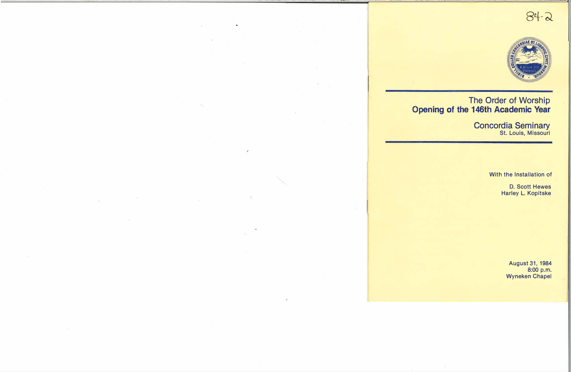



# The Order of Worship **\_Opening of the 146th Academic Year**

Concordia Seminary St. Louis, Missouri

With the Installation of

D. Scott Hewes Harley L. Kopitske

> August 31, 1984 8:00 p.m. Wyneken Chapel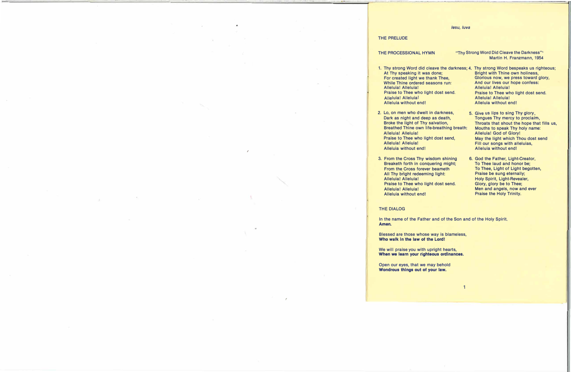#### */esu, /uva*

#### **THE PRELUDE**

**THE PROCESSIONAL HYMN "Thy Strong Word Did Cleave the Darkness"** 1 **Martin H. Franzmann, 1954** 

- **1. Thy strong Word did cleave the darkness; 4. Thy strong Word bespeaks us righteous; At Thy speaking it was done; Bright with Thine own holiness, While Thine ordered seasons run: Alleluia! Alleluia! Alleluia! Alleluia! Praise to Thee who light dost send. Praise to Thee who light dost send. Alleluia! Alleluia! Alleluia! Alleluia! Alleluia without end! Alleluia without end!**
- **2. Lo, on men who dwelt In darkness, Dark as night and deep as death, Broke the light of Thy salvation, Breathed Thine own life-breathing breath: Alleluia! Alleluia! Praise to Thee who light dost send, Alleluia! Alleluia! Alleluia without end!**
- **3. From the Cross Thy wisdom shining Breaketh forth in conquering might; From the Cross forever beameth All Thy biight redeeming light: Alleluia! Alleluia! Praise to Thee who light dost send. Alleluia! Alleluia! Alleluia without end!**
- Glorious now, we press toward glory,<br>And our lives our hope confess:
- **5. Give us lips to sing Thy glory, Tongues Thy mercy to proclaim, Throats that shout the hope that fills us, Mouths to speak Thy holy name: Alleluia! God of Glory! May the light which Thou dost send Fill our songs with alleluias, Alleluia without end!**
- **6. God the Father, Light-Creator, To Thee laud and honor be; To Thee, Light of Light begotten, Praise be sung eternally; Holy Spirit, Light-Revealer, Glory, glory be to Thee; Men and angels, now and ever Praise the Holy Trinity.**

# **THE DIALOG**

**In the name of the Father and of the Son and of the Holy Spirit. Amen.** 

**Blessed are those whose way is blameless, Who walk in 'the law of the Lord!** 

**We will praise you with upright hearts, When we learn your righteous ordinances.** 

**Open our eyes, that we may behold Wondrous things out of your law.**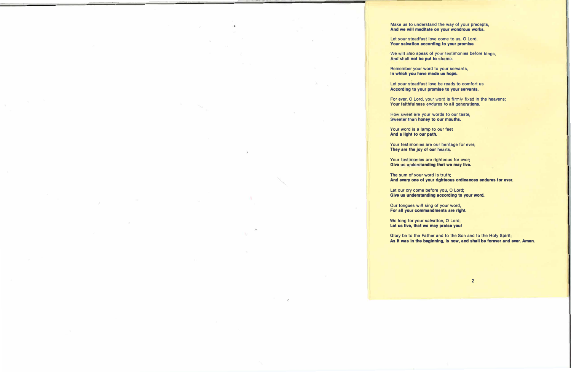**Make us to understand the way of your precepts, And we will meditate on your wondrous works.** 

**Let your steadfast love come to us, O Lord. 'Your salvation according to your promise.** 

**We will also speak of your testimonies before kings, And shall not be put to shame.** 

**Remember your word to your servants, In which you have made us hope.** 

**Let your steadfast love be ready to comfort us According to your promise to your servants.** 

**For ever, 0 Lord, your word is firmly fixed in the heavens; Your faithfulness endures to all generations.** 

**How sweet are your words to our taste, Sweeter than honey to our mouths.** 

**Your word is a lamp to our feet And a light to our path.** 

**Your testimonies are our heritage for ever; They are the joy of our hearts.** 

**Your testimonies are righteous for ever; Give us understanding that we may live.** 

**The sum of your word is truth; And every one of your righteous ordinances endures for ever.** 

**Let our cry come before you, 0 Lord; Give us understanding according to your word.** 

**Our tongues will sing of your word, For all your commandments are right.** 

**We long for your salvation, 0 Lord; Let us live, that we may praise you!** 

**Glory be to the Father and to the Son and to the Holy Spirit; As it was In the beginning, is now, and shall be forever and ever. Amen.**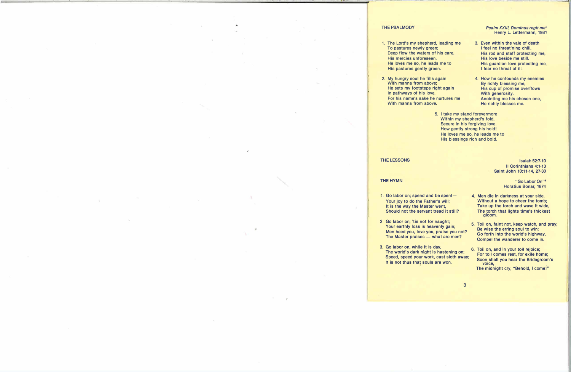#### **THE PSALMODY**

- **1. The Lord's my shepherd, leading me To pastures newly green; Deep flow the waters of his care, His mercies unforeseen. He loves me so, he leads me to His pastures gently green.**
- **2. My hungry soul he fills again With manna from above; He sets my footsteps right again In pathways of his love. For his name's sake he nurtures me With manna from above.**

#### *Psalm XX/II, Dominus regit* **me** 2 **Henry L. Lettermann, 1981**

**3. Even within the vale of death I feel no threat'ning chill, His rod and staff protecting me, His love beside me still. His guardian love protecting me, I fear no threat of ill.**

. - -- - -.- ------c=================�1·

- **4. How he confounds my enemies By richly blessing me; His cup of promise overflows With generosity. Anointing me his chosen one, He richly blesses me.**
- **5. I take my stand forevermore Within my shepherd's fold, Secure in his forgiving love. How gently strong his hold! He loves me so, he leads me to His blessings rich and bold.**

#### **THE LESSONS**

# **Isaiah 52:7-10 II Corinthians 4:1-13 Saint John 10:11-14, 27-30**

#### **THE HYMN**

- 1. Go labor on; spend and be spent-**Your joy to do the Father's will; It is the way the Master went, Should not the servant tread it still?**
- **2 Go labor on; 'tis not for naught; Your earthly loss is heavenly gain; Men heed you, love you, praise you not?**  The Master praises - what are men?
- 3. Go labor on, while it is day,<br>The world's dark sight is becausing any **6.** Toil on, and in your toil rejoice; The world's dark night is hastening on; **Speed, speed your work, cast sloth away; It is not thus that souls are won.**

**"Go Labor On"** 3 **Horatius Bonar, 1874** 

- **4. Men die in darkness at your side, Without a hope to cheer the tomb; Take up the torch and wave it wide, The torch that lights time's thickest gloom.**
- **5. Toil on, faint not, keep watch, and pray; Be wise the erring soul to win; Go forth into the world's highway, Compel the wanderer to come in.**
- For toil comes rest, for exile home; **Soon shall you hear the Bridegroom's voice, The midnight cry, "Behold, I come!"**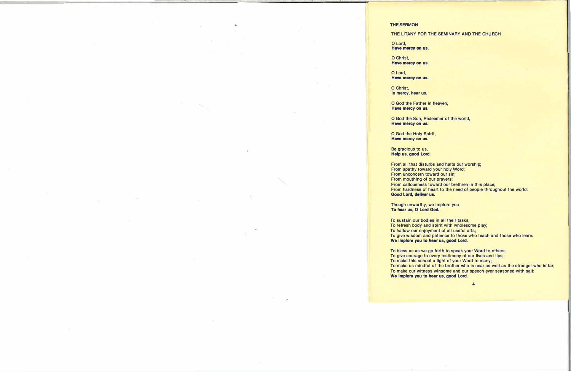# **THE SERMON**

# **THE LITANY FOR THE SEMINARY AND THE CHURCH**

**0 Lord, Have mercy on us.** 

**0 Christ, Have mercy on us.** 

**0 Lord, Have mercy on us.** 

**0 Christ, In mercy, hear us.** 

**0 God the Father in heaven, Have mercy on us.** 

**0 God the Son, Redeemer of the world, Have mercy on us.** 

**0 God the Holy Spirit, Have mercy on us.** 

**Be gracious to us, Help us, good Lord.** 

**From all that disturbs and halts our worship; From apathy toward your holy Word; From unconcern toward our sin; From mouthing of our prayers; From callousness toward our brethren in- this place; From hardness of heart to the need of people throughout the world: Good Lord, deliver us.** 

**Though unworthy, we implore you To hear us, 0 Lord God.** 

**To sustain our bodies in all their tasks; To refresh body and spirit with wholesome play; To hallow our enjoyment of all useful arts; To give wisdom and patience to those who teach and those who learn: We implore you to hear us, good Lord.** 

**To bless us as we go forth to speak your Word to others; To give courage to every testimony of our lives and lips; To make this school a light of your Word to many;**  To make us mindful of the brother who is near as well as the stranger who is far; **To make our witness winsome and our speech ever seasoned with salt: We implore you to hear us, good Lord.**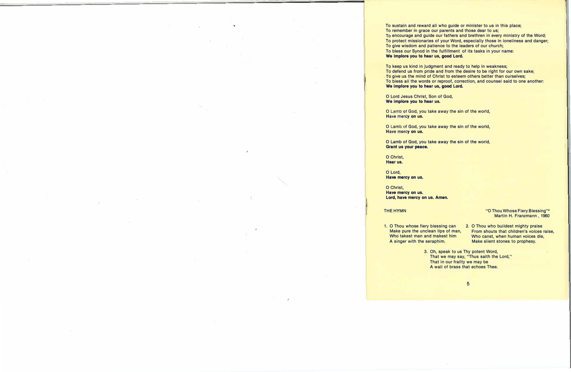**To sustain and reward all who guide or minister to us in this place; To remember in grace our parents and those dear to us; To encourage and guide our fathers and brethren in every ministry of the Word; To protect missionaries of your Word, especially those in loneliness and danger; To give wisdom and patience to the leaders of our church; To bless our Synod in the fulfillment of its tasks in your name: We Implore you to hear us, good Lord.** 

**To keep us kind in judgment and ready to help in weakness; To defend us from pride and from the desire to be right for our own sake; To give us the mind of Christ to esteem others better than ourselves; To bless all the words or reproof, correction, and counsel said to one another: We Implore you to hear us, good Lord.** 

**0 Lord Jesus Christ, Son of God, We implore you to hear us.** 

**0 Lamb of God, you take away the sin of the world, Have mercy on us.** 

**0 Lamb of God, you take away the sin of the world, Have mercy on us.** 

**0 Lamb of God, you take away the sin of the world, Grant us your peace.** 

**0 Christ, Hear us.** 

**0 Lord, Have mercy on us.** 

**0 Christ, Have mercy on us. Lord, have mercy on us. Amen.** 

# **THE HYMN**

#### **"O Thou Whose Fiery Blessing"� Martin H. Franzmann , 1960**

**1. 0 Thou whose fiery blessing can Make pure the unclean lips of man, Who takest man and makest him A singer with the seraphim.**

**2. O Thou who buildest mighty praise From shouts that children's voices raise, Who canst, when human voices die, Make silent stones to prophesy.**

**3. Oh, speak to us Thy potent Word, That we may say, "Thus saith the Lord," That in our frailty we may be A wall of brass that echoes Thee.**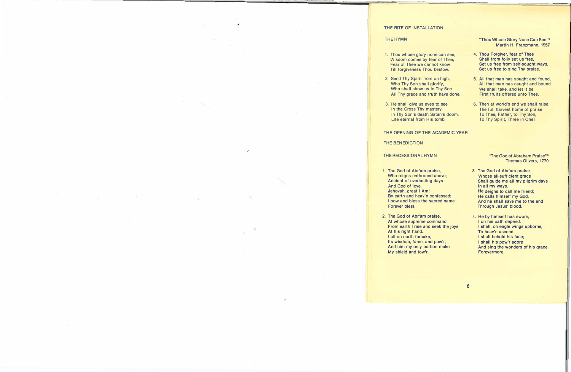# THE RITE OF INSTALLATION

#### THE **HYMN**

- 1. Thou whose glory none can see, Wisdom comes by fear of Thee; Fear of Thee we cannot know Till forgiveness Thou bestow.
- 2. Send Thy Spirit from on high, Who Thy Son shall glorify, Who shall show us in Thy Son All Thy grace and truth have done.
- 3. He shall give us eyes to see In the Cross Thy mastery, In Thy Son's death Satan's doom, Life eternal from His tomb.

# THE OPENING OF THE ACADEMIC YEAR

#### THE BENEDICTION

# THE RECESSIONAL HYMN

- 1. The God of Abr'am praise, Who reigns enthroned above; Ancient of everlasting days And God of love. Jehovah, great I Am! By earth and heav'n confessed; I bow and bless the sacred name Forever blest.
- 2. The God of Abr'am praise, At whose supreme command From earth I rise and seek the joys At his right hand. I all on earth forsake, Its wisdom, fame, and pow'r, And him my only portion make, My shield and tow'r.

"Thou Whose Glory None Can See" **5**  Martin H. Franzmann, 1957

- 4. Thou Forgiver, fear of Thee Shall from folly set us free, Set us free from self-sought ways, Set us free to sing Thy praise.
- 5. All that man has sought and found, All that man has caught and bound, We shall take, and let it be First fruits offered unto Thee.
- 6. Then at world's end we shall raise The full harvest home of praise To Thee, Father, to Thy Son, To Thy Spirit, Three in One!

"The God of Abraham Praise" **6**  Thomas Olivers, 1770

- 3. The God of Abr'am praise, Whose all-sufficient grace Shall guide me all my pilgrim days In all my ways. He deigns to call me friend; He calls himself my God. And he shall save me to the end Through Jesus' blood.
- 4. He by himself has sworn; I on his oath depend. I shall, on eagle wings upborne, To heav'n ascend. I shall behold his face; I shall his pow'r adore And sing the wonders of his grace Forevermore.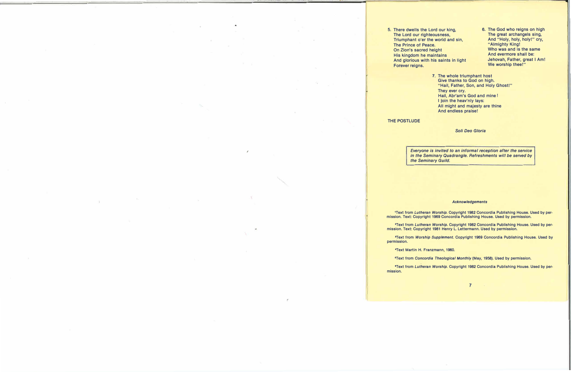- **5. There dwells the Lord our king, The Lord our righteousness, Triumphant o'er the world and sin, The Prince of Peace. On Zion's sacred height Who was and is the same His kingdom he maintains And glorious with his saints in light Forever reigns.**
- **6. The God who reigns on high The great archangels sing, And "Holy, holy, holy!" cry, "Almighty King! Jehovah, Father, great I Am! We worship thee!"**
	- **7. The whole triumphant host Give thanks to God on high. "Hail, Father, Son, and Holy Ghost!" They ever cry. Hail, Abr'am's God and mine! I Join the heav'nly lays: All might and majesty are thine And endless praise!**

#### **THE POSTLUDE**

#### *Soli Deo Gloria*

*Everyone is invited to an informal reception after the service in the Seminary Quadrangle. Refreshments will be served by the Seminary Guild.* 

#### *Acknowledgements*

**1Text from** *Lutheran Worship.* **Copyright 1982 Concordia Publishing House. Used by permission. Text: Copyright 1969 Concordia Publishing House. Used by permission.** 

**'Text from** *Lutheran Worship.* **Copyright 1982 Concordia Publishing House. Used by permission. Text: Copyright 1981 Henry L. Lettermann. Used by permission.** 

**•Text from** *Worship Supplement.* **Copyright 1969 Concordia Publishing House. Used by permission.** 

<sup>4</sup>**Text Martin H. Franzmann, 1960.** 

**"Text from** *Concordia Theological Monthly* **(May, 1958). Used by permission.** 

**•Text from** *Lutheran Worship.* **Copyright 1982 Concordia Publishing House. Used by permission.**